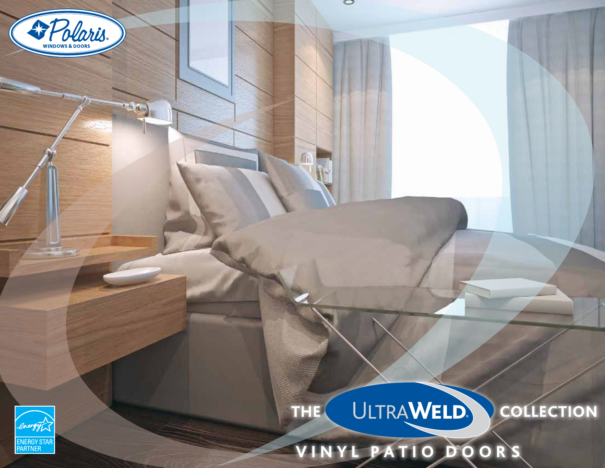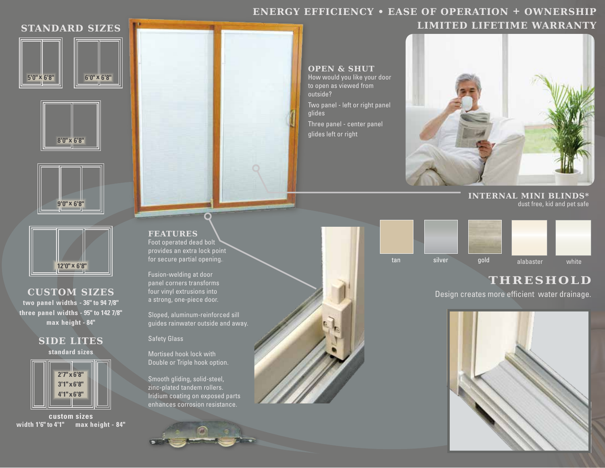# **ENERGY EFFICIENCY • EASE OF OPERATION + OWNERSHIP**

# **STANDARD SIZES**









**CUSTOM SIZES two panel widths - 36" to 94 7/8" three panel widths - 95" to 142 7/8" max height - 84"**





**custom sizes width 1'6" to 4'1" max height - 84"**

**FEATURES** Foot operated dead bolt provides an extra lock point for secure partial opening..

Ō

Fusion-welding at door panel corners transforms four vinyl extrusions into a strong, one-piece door.

Sloped, aluminum-reinforced sill guides rainwater outside and away.

#### Safety Glass

Mortised hook lock with Double or Triple hook option.

Smooth gliding, solid-steel, zinc-plated tandem rollers. Iridium coating on exposed parts enhances corrosion resistance.



**OPEN & SHUT** How would you like your door



**INTERNAL MINI BLINDS\***  dust free, kid and pet safe



## **THRESHOLD**

Design creates more efficient water drainage.



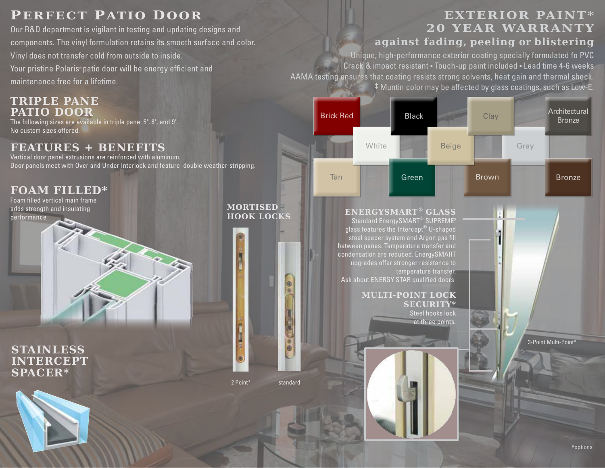## **PERFECT PATIO DOOR**

Our R&D department is vigilant in testing and updating designs and components. The vinyl formulation retains its smooth surface and color. Vinyl does not transfer cold from outside to inside. Your pristine Polaris**®** patio door will be energy efficient and maintenance free for a lifetime.

#### **TRIPLE PANE PATIO DOOR**

The following sizes are available in triple pane: 5', 6', and 9'. No custom sizes offered.

## **FEATURES + BENEFITS**

Vertical door panel extrusions are reinforced with aluminum. Door panels meet with Over and Under Interlock and feature double weather-stripping.

## **FOAM FILLED\***

Foam filled vertical main frame adds strength and insulating performance





### **EXTERIOR PAINT\* 20 YEAR WARRANTY against fading, peeling or blistering**

Unique, high-performance exterior coating specially formulated fo PVC Crack & impact resistant • Touch-up paint included • Lead time 4-6 weeks AAMA testing ensures that coating resists strong solvents, heat gain and thermal shock. ‡ Muntin color may be affected by glass coatings, such as Low-E.



#### **ENERGYSMART® GLASS** Standard EnergySMART<sup>®</sup> SUPREME<sup>2</sup>

glass features the Intercept® U-shaped steel spacer system and Argon gas fill between panes. Temperature transfer and condensation are reduced. EnergySMART upgrades offer stronger resistance to temperature transfer. Ask about ENERGY STAR qualified doors.

#### **MULTI-POINT LOCK SECURITY\***

Steel hooks lock at three points.

3-Point Multi-Point\*

2 Point\* standard

**MORTISED HOOK LOCKS**

O

 $\bullet$  of  $\overline{\bullet}$